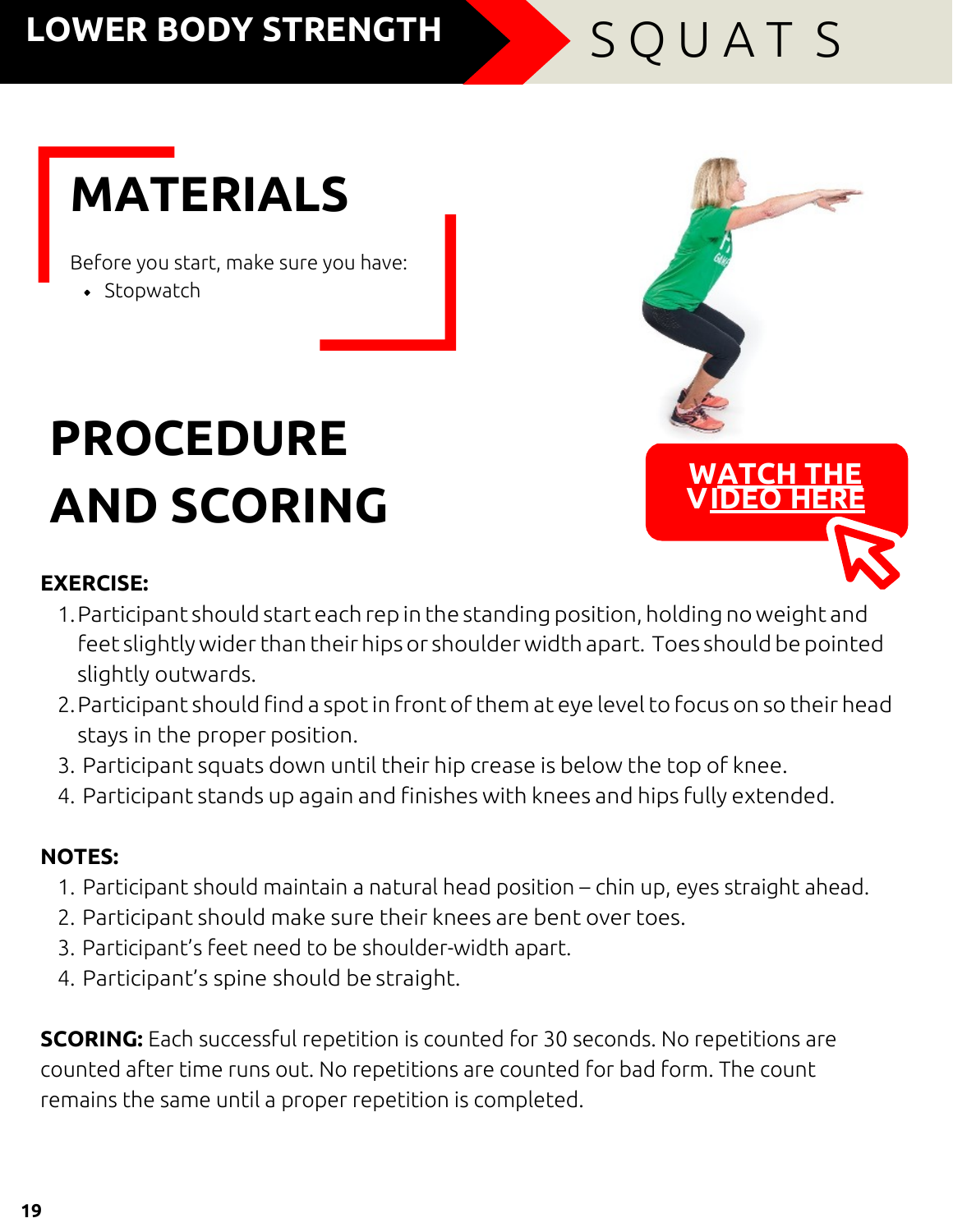## LOWER BODY STRENGTH SOUATS

**WATCH THE [V IDEO](https://youtu.be/rR9N75su7_I) HERE**

# **MATERIALS**

Before you start, make sure you have:

• Stopwatch

# **PROCEDURE AND SCORING**

#### **EXERCISE:**

- 1.Participant should start each repin the standing position, holding no weight and
- feet slightly wider than their hips or shoulder width apart. Toes should be pointed slightly outwards.
- 2.Participant should find a spotin front of them at eye levelto focus on so their head stays in the proper position.
- 3. Participant squats down until their hip crease is below the top of knee.
- 4. Participant stands up again and finishes with knees and hips fully extended.

#### **NOTES:**

- 1. Participant should maintain a natural head position chin up, eyes straight ahead.
- 2. Participant should make sure their knees are bent over toes.
- 3. Participant's feet need to be shoulder-width apart.
- 4. Participant's spine should be straight.

**SCORING:** Each successful repetition is counted for 30 seconds. No repetitions are counted after time runs out. No repetitions are counted for bad form. The count remains the same until a proper repetition is completed.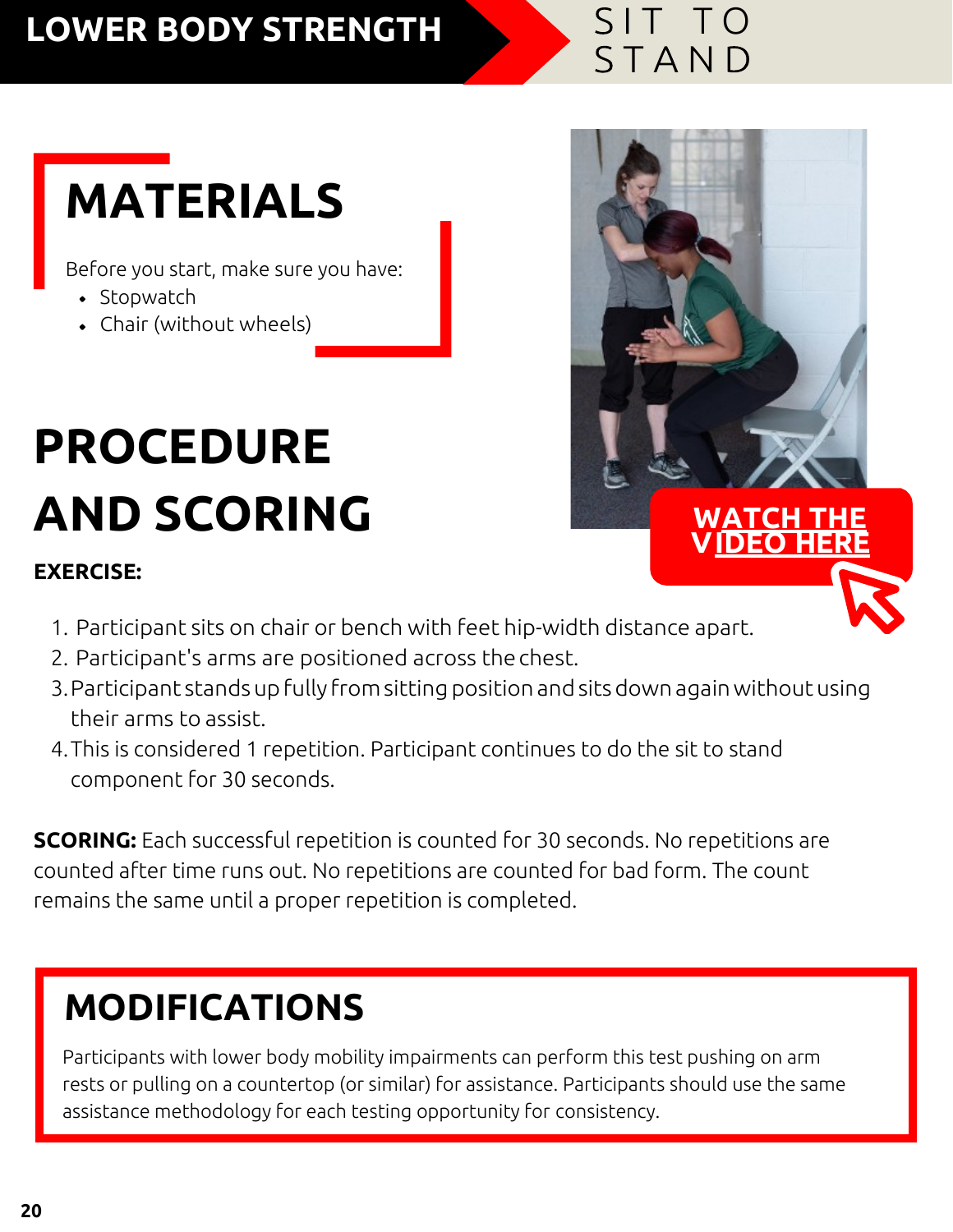# LOWER BODY STRENGTH STAND

## **MATERIALS**

Before you start, make sure you have:

- Stopwatch
- Chair (without wheels)

# **PROCEDURE AND SCORING**

#### **EXERCISE:**

- **WATCH [V IDEO](https://youtu.be/5yCJLEK-ll8) HERE**
- 1. Participant sits on chair or bench with feet hip-width distance apart.
- 2. Participant's arms are positioned across thechest.
- 3.Participant standsupfully from sittingposition andsitsdown againwithoutusing their arms to assist.
- 4.This is considered 1 repetition. Participant continues to do the sit to stand component for 30 seconds.

**SCORING:** Each successful repetition is counted for 30 seconds. No repetitions are counted after time runs out. No repetitions are counted for bad form. The count remains the same until a proper repetition is completed.

### **MODIFICATIONS**

Participants with lower body mobility impairments can perform this test pushing on arm rests or pulling on a countertop (or similar) for assistance. Participants should use the same assistance methodology for each testing opportunity for consistency.